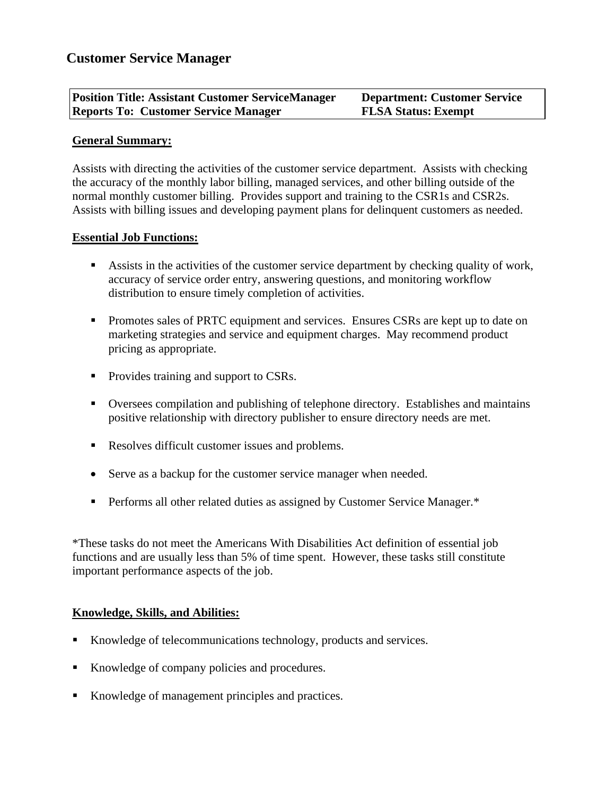| <b>Position Title: Assistant Customer ServiceManager</b> | <b>Department: Customer Service</b> |
|----------------------------------------------------------|-------------------------------------|
| <b>Reports To: Customer Service Manager</b>              | <b>FLSA Status: Exempt</b>          |

## **General Summary:**

Assists with directing the activities of the customer service department. Assists with checking the accuracy of the monthly labor billing, managed services, and other billing outside of the normal monthly customer billing. Provides support and training to the CSR1s and CSR2s. Assists with billing issues and developing payment plans for delinquent customers as needed.

## **Essential Job Functions:**

- Assists in the activities of the customer service department by checking quality of work, accuracy of service order entry, answering questions, and monitoring workflow distribution to ensure timely completion of activities.
- **Promotes sales of PRTC equipment and services. Ensures CSRs are kept up to date on** marketing strategies and service and equipment charges. May recommend product pricing as appropriate.
- Provides training and support to CSRs.
- Oversees compilation and publishing of telephone directory. Establishes and maintains positive relationship with directory publisher to ensure directory needs are met.
- Resolves difficult customer issues and problems.
- Serve as a backup for the customer service manager when needed.
- **•** Performs all other related duties as assigned by Customer Service Manager.\*

\*These tasks do not meet the Americans With Disabilities Act definition of essential job functions and are usually less than 5% of time spent. However, these tasks still constitute important performance aspects of the job.

# **Knowledge, Skills, and Abilities:**

- Knowledge of telecommunications technology, products and services.
- Knowledge of company policies and procedures.
- Knowledge of management principles and practices.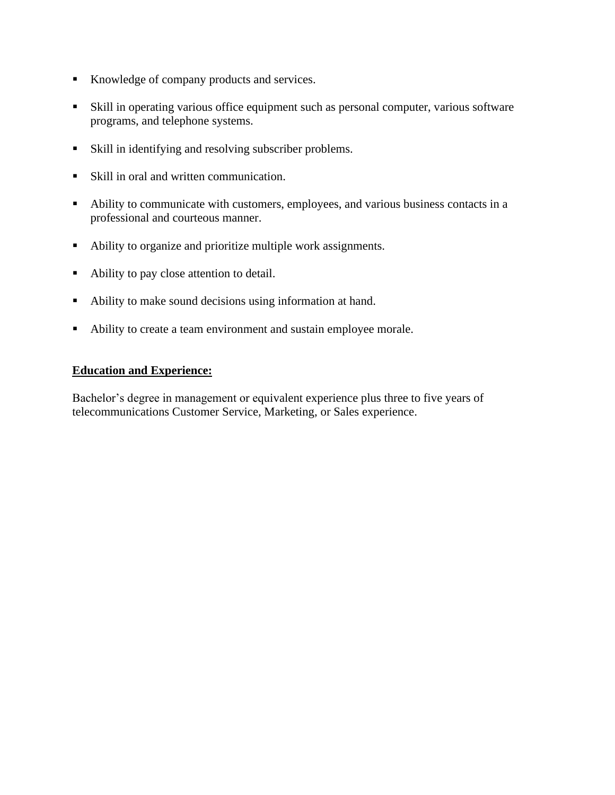- Knowledge of company products and services.
- Skill in operating various office equipment such as personal computer, various software programs, and telephone systems.
- Skill in identifying and resolving subscriber problems.
- Skill in oral and written communication.
- Ability to communicate with customers, employees, and various business contacts in a professional and courteous manner.
- Ability to organize and prioritize multiple work assignments.
- Ability to pay close attention to detail.
- Ability to make sound decisions using information at hand.
- Ability to create a team environment and sustain employee morale.

#### **Education and Experience:**

Bachelor's degree in management or equivalent experience plus three to five years of telecommunications Customer Service, Marketing, or Sales experience.